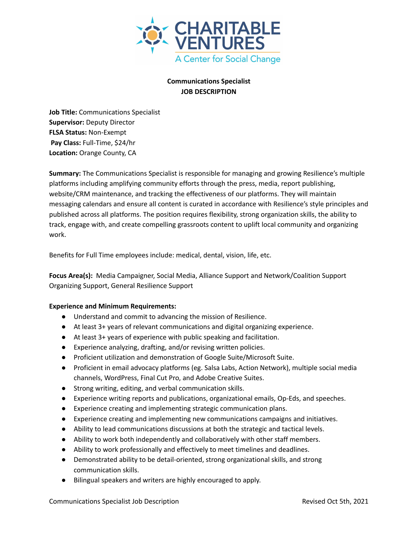

## **Communications Specialist JOB DESCRIPTION**

**Job Title:** Communications Specialist **Supervisor:** Deputy Director **FLSA Status:** Non-Exempt **Pay Class:** Full-Time, \$24/hr **Location:** Orange County, CA

**Summary:** The Communications Specialist is responsible for managing and growing Resilience's multiple platforms including amplifying community efforts through the press, media, report publishing, website/CRM maintenance, and tracking the effectiveness of our platforms. They will maintain messaging calendars and ensure all content is curated in accordance with Resilience's style principles and published across all platforms. The position requires flexibility, strong organization skills, the ability to track, engage with, and create compelling grassroots content to uplift local community and organizing work.

Benefits for Full Time employees include: medical, dental, vision, life, etc.

**Focus Area(s):** Media Campaigner, Social Media, Alliance Support and Network/Coalition Support Organizing Support, General Resilience Support

## **Experience and Minimum Requirements:**

- Understand and commit to advancing the mission of Resilience.
- At least 3+ years of relevant communications and digital organizing experience.
- At least 3+ years of experience with public speaking and facilitation.
- Experience analyzing, drafting, and/or revising written policies.
- Proficient utilization and demonstration of Google Suite/Microsoft Suite.
- Proficient in email advocacy platforms (eg. Salsa Labs, Action Network), multiple social media channels, WordPress, Final Cut Pro, and Adobe Creative Suites.
- Strong writing, editing, and verbal communication skills.
- Experience writing reports and publications, organizational emails, Op-Eds, and speeches.
- Experience creating and implementing strategic communication plans.
- Experience creating and implementing new communications campaigns and initiatives.
- Ability to lead communications discussions at both the strategic and tactical levels.
- Ability to work both independently and collaboratively with other staff members.
- Ability to work professionally and effectively to meet timelines and deadlines.
- Demonstrated ability to be detail-oriented, strong organizational skills, and strong communication skills.
- Bilingual speakers and writers are highly encouraged to apply.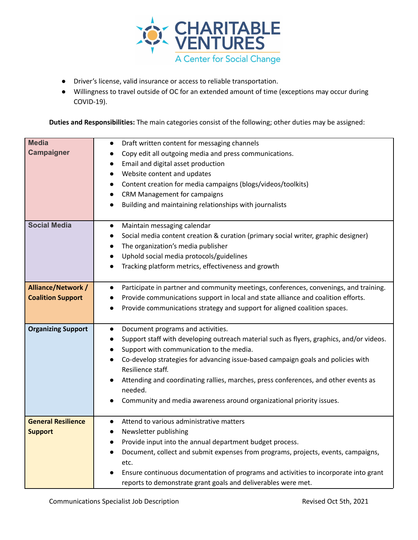

- Driver's license, valid insurance or access to reliable transportation.
- Willingness to travel outside of OC for an extended amount of time (exceptions may occur during COVID-19).

**Duties and Responsibilities:** The main categories consist of the following; other duties may be assigned:

| <b>Media</b>              | Draft written content for messaging channels<br>$\bullet$                                       |
|---------------------------|-------------------------------------------------------------------------------------------------|
| <b>Campaigner</b>         | Copy edit all outgoing media and press communications.<br>$\bullet$                             |
|                           | Email and digital asset production                                                              |
|                           | Website content and updates                                                                     |
|                           | Content creation for media campaigns (blogs/videos/toolkits)<br>$\bullet$                       |
|                           | CRM Management for campaigns                                                                    |
|                           | Building and maintaining relationships with journalists                                         |
|                           |                                                                                                 |
| <b>Social Media</b>       | Maintain messaging calendar<br>$\bullet$                                                        |
|                           | Social media content creation & curation (primary social writer, graphic designer)<br>$\bullet$ |
|                           | The organization's media publisher                                                              |
|                           | Uphold social media protocols/guidelines                                                        |
|                           | Tracking platform metrics, effectiveness and growth                                             |
|                           |                                                                                                 |
| Alliance/Network /        | Participate in partner and community meetings, conferences, convenings, and training.           |
| <b>Coalition Support</b>  | Provide communications support in local and state alliance and coalition efforts.               |
|                           | Provide communications strategy and support for aligned coalition spaces.                       |
|                           |                                                                                                 |
| <b>Organizing Support</b> | Document programs and activities.<br>$\bullet$                                                  |
|                           | Support staff with developing outreach material such as flyers, graphics, and/or videos.        |
|                           | Support with communication to the media.                                                        |
|                           | Co-develop strategies for advancing issue-based campaign goals and policies with                |
|                           | Resilience staff.                                                                               |
|                           | Attending and coordinating rallies, marches, press conferences, and other events as             |
|                           | needed.                                                                                         |
|                           | Community and media awareness around organizational priority issues.                            |
|                           |                                                                                                 |
| <b>General Resilience</b> | Attend to various administrative matters<br>$\bullet$                                           |
| <b>Support</b>            | Newsletter publishing                                                                           |
|                           | Provide input into the annual department budget process.                                        |
|                           | Document, collect and submit expenses from programs, projects, events, campaigns,               |
|                           | etc.                                                                                            |
|                           | Ensure continuous documentation of programs and activities to incorporate into grant            |
|                           | reports to demonstrate grant goals and deliverables were met.                                   |